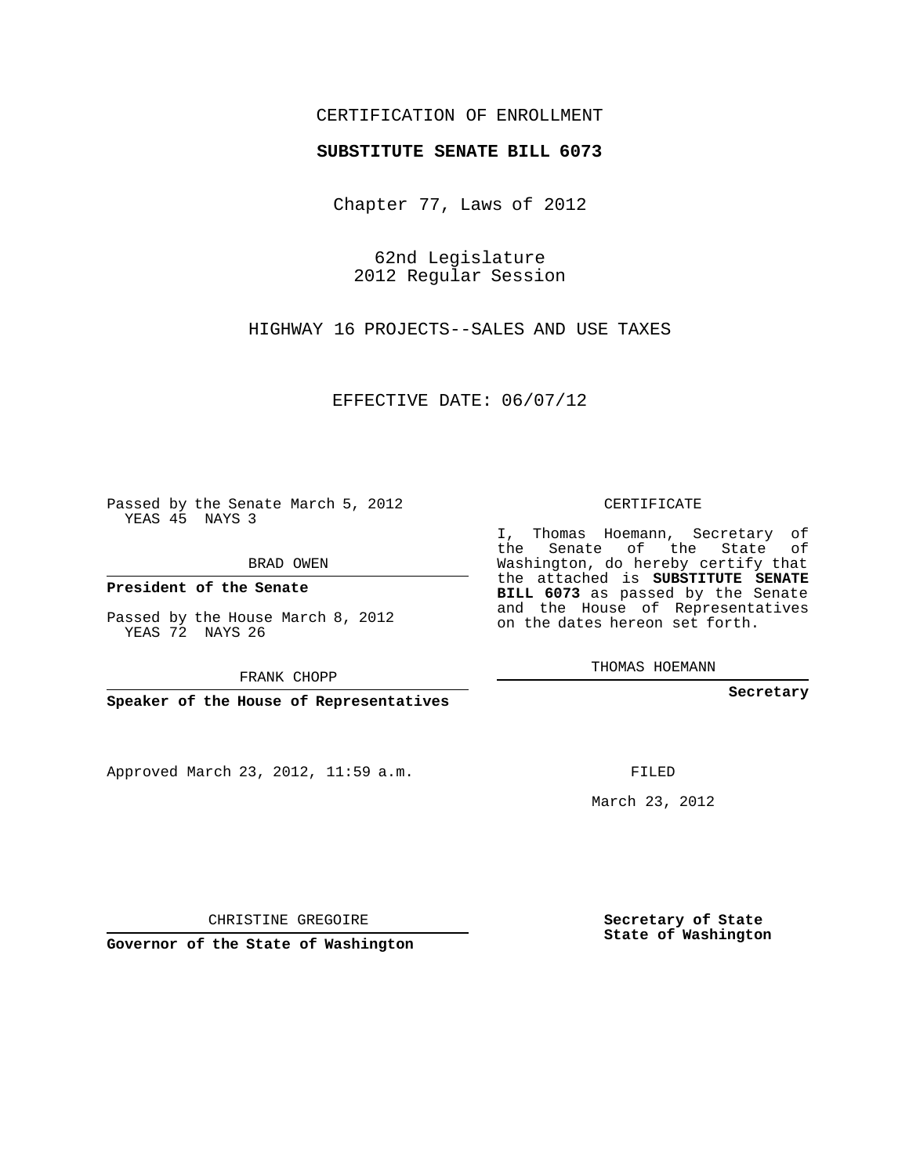## CERTIFICATION OF ENROLLMENT

## **SUBSTITUTE SENATE BILL 6073**

Chapter 77, Laws of 2012

62nd Legislature 2012 Regular Session

HIGHWAY 16 PROJECTS--SALES AND USE TAXES

EFFECTIVE DATE: 06/07/12

Passed by the Senate March 5, 2012 YEAS 45 NAYS 3

BRAD OWEN

**President of the Senate**

Passed by the House March 8, 2012 YEAS 72 NAYS 26

FRANK CHOPP

**Speaker of the House of Representatives**

Approved March 23, 2012, 11:59 a.m.

CERTIFICATE

I, Thomas Hoemann, Secretary of the Senate of the State of Washington, do hereby certify that the attached is **SUBSTITUTE SENATE BILL 6073** as passed by the Senate and the House of Representatives on the dates hereon set forth.

THOMAS HOEMANN

**Secretary**

FILED

March 23, 2012

**Secretary of State State of Washington**

CHRISTINE GREGOIRE

**Governor of the State of Washington**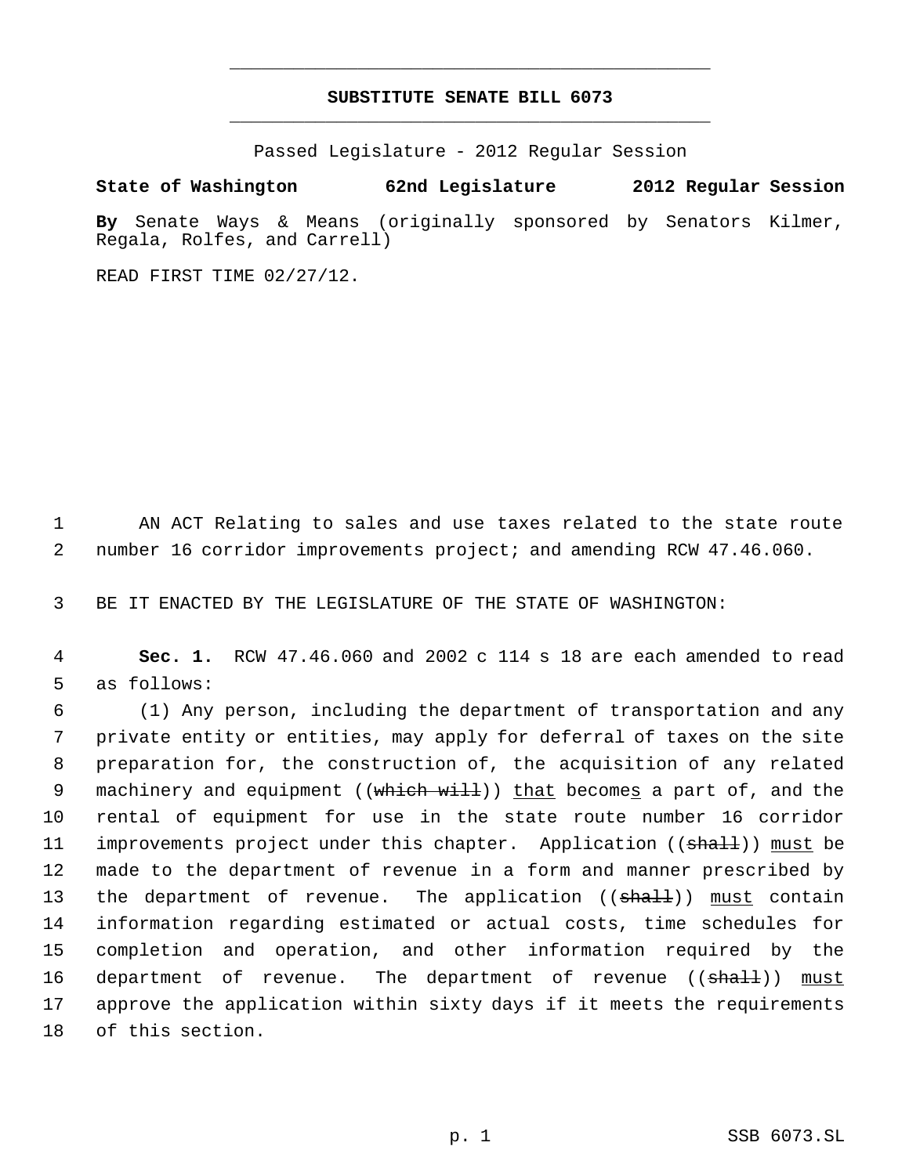## **SUBSTITUTE SENATE BILL 6073** \_\_\_\_\_\_\_\_\_\_\_\_\_\_\_\_\_\_\_\_\_\_\_\_\_\_\_\_\_\_\_\_\_\_\_\_\_\_\_\_\_\_\_\_\_

\_\_\_\_\_\_\_\_\_\_\_\_\_\_\_\_\_\_\_\_\_\_\_\_\_\_\_\_\_\_\_\_\_\_\_\_\_\_\_\_\_\_\_\_\_

Passed Legislature - 2012 Regular Session

**State of Washington 62nd Legislature 2012 Regular Session**

**By** Senate Ways & Means (originally sponsored by Senators Kilmer, Regala, Rolfes, and Carrell)

READ FIRST TIME 02/27/12.

 1 AN ACT Relating to sales and use taxes related to the state route 2 number 16 corridor improvements project; and amending RCW 47.46.060.

3 BE IT ENACTED BY THE LEGISLATURE OF THE STATE OF WASHINGTON:

 4 **Sec. 1.** RCW 47.46.060 and 2002 c 114 s 18 are each amended to read 5 as follows:

 (1) Any person, including the department of transportation and any private entity or entities, may apply for deferral of taxes on the site preparation for, the construction of, the acquisition of any related 9 machinery and equipment ((which will)) that becomes a part of, and the rental of equipment for use in the state route number 16 corridor 11 improvements project under this chapter. Application ((shall)) must be made to the department of revenue in a form and manner prescribed by 13 the department of revenue. The application (( $\frac{1}{3}$ ) must contain information regarding estimated or actual costs, time schedules for completion and operation, and other information required by the 16 department of revenue. The department of revenue ((shall)) must approve the application within sixty days if it meets the requirements of this section.